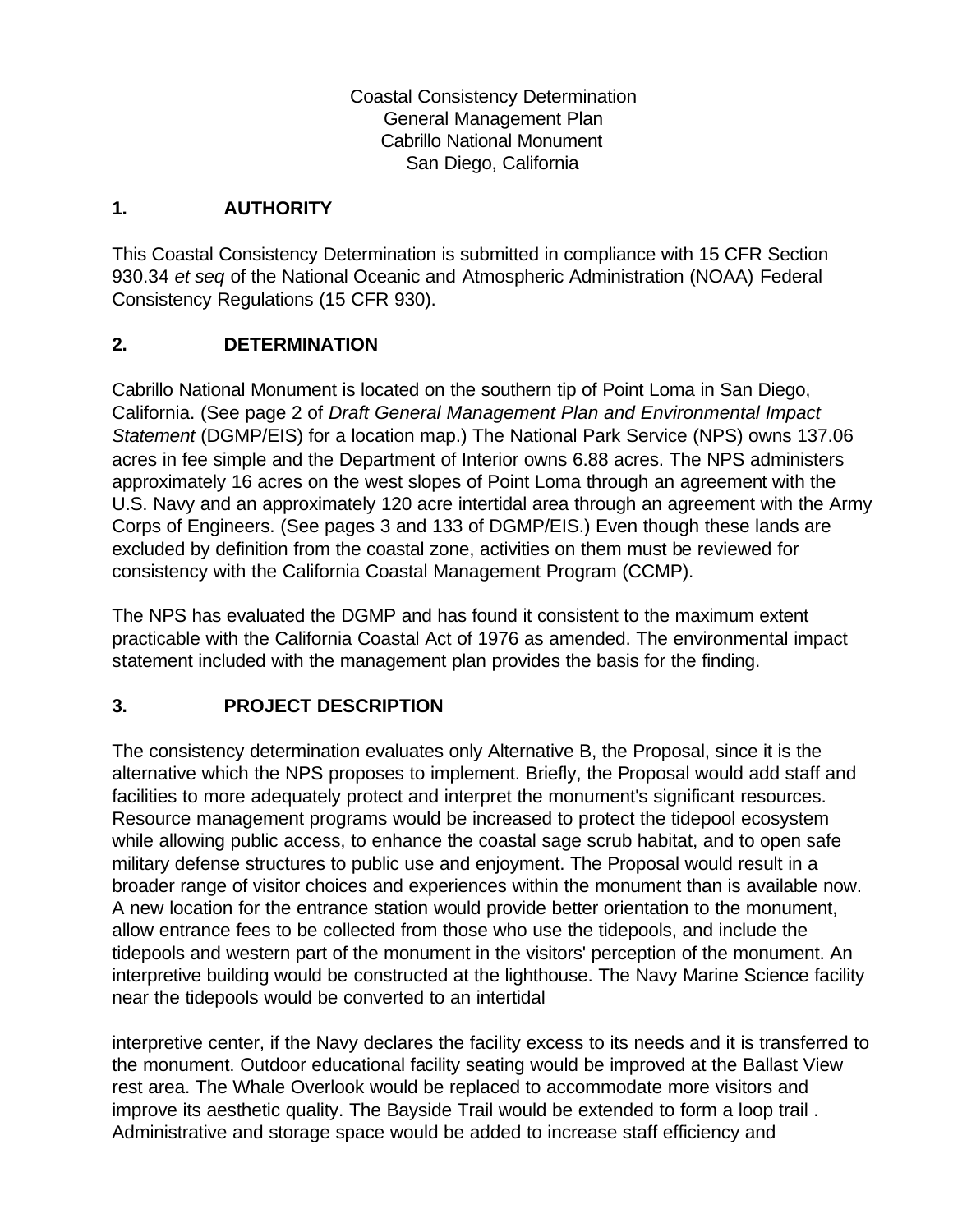Coastal Consistency Determination General Management Plan Cabrillo National Monument San Diego, California

## **1. AUTHORITY**

This Coastal Consistency Determination is submitted in compliance with 15 CFR Section 930.34 *et seq* of the National Oceanic and Atmospheric Administration (NOAA) Federal Consistency Regulations (15 CFR 930).

## **2. DETERMINATION**

Cabrillo National Monument is located on the southern tip of Point Loma in San Diego, California. (See page 2 of *Draft General Management Plan and Environmental Impact Statement* (DGMP/EIS) for a location map.) The National Park Service (NPS) owns 137.06 acres in fee simple and the Department of Interior owns 6.88 acres. The NPS administers approximately 16 acres on the west slopes of Point Loma through an agreement with the U.S. Navy and an approximately 120 acre intertidal area through an agreement with the Army Corps of Engineers. (See pages 3 and 133 of DGMP/EIS.) Even though these lands are excluded by definition from the coastal zone, activities on them must be reviewed for consistency with the California Coastal Management Program (CCMP).

The NPS has evaluated the DGMP and has found it consistent to the maximum extent practicable with the California Coastal Act of 1976 as amended. The environmental impact statement included with the management plan provides the basis for the finding.

# **3. PROJECT DESCRIPTION**

The consistency determination evaluates only Alternative B, the Proposal, since it is the alternative which the NPS proposes to implement. Briefly, the Proposal would add staff and facilities to more adequately protect and interpret the monument's significant resources. Resource management programs would be increased to protect the tidepool ecosystem while allowing public access, to enhance the coastal sage scrub habitat, and to open safe military defense structures to public use and enjoyment. The Proposal would result in a broader range of visitor choices and experiences within the monument than is available now. A new location for the entrance station would provide better orientation to the monument, allow entrance fees to be collected from those who use the tidepools, and include the tidepools and western part of the monument in the visitors' perception of the monument. An interpretive building would be constructed at the lighthouse. The Navy Marine Science facility near the tidepools would be converted to an intertidal

interpretive center, if the Navy declares the facility excess to its needs and it is transferred to the monument. Outdoor educational facility seating would be improved at the Ballast View rest area. The Whale Overlook would be replaced to accommodate more visitors and improve its aesthetic quality. The Bayside Trail would be extended to form a loop trail . Administrative and storage space would be added to increase staff efficiency and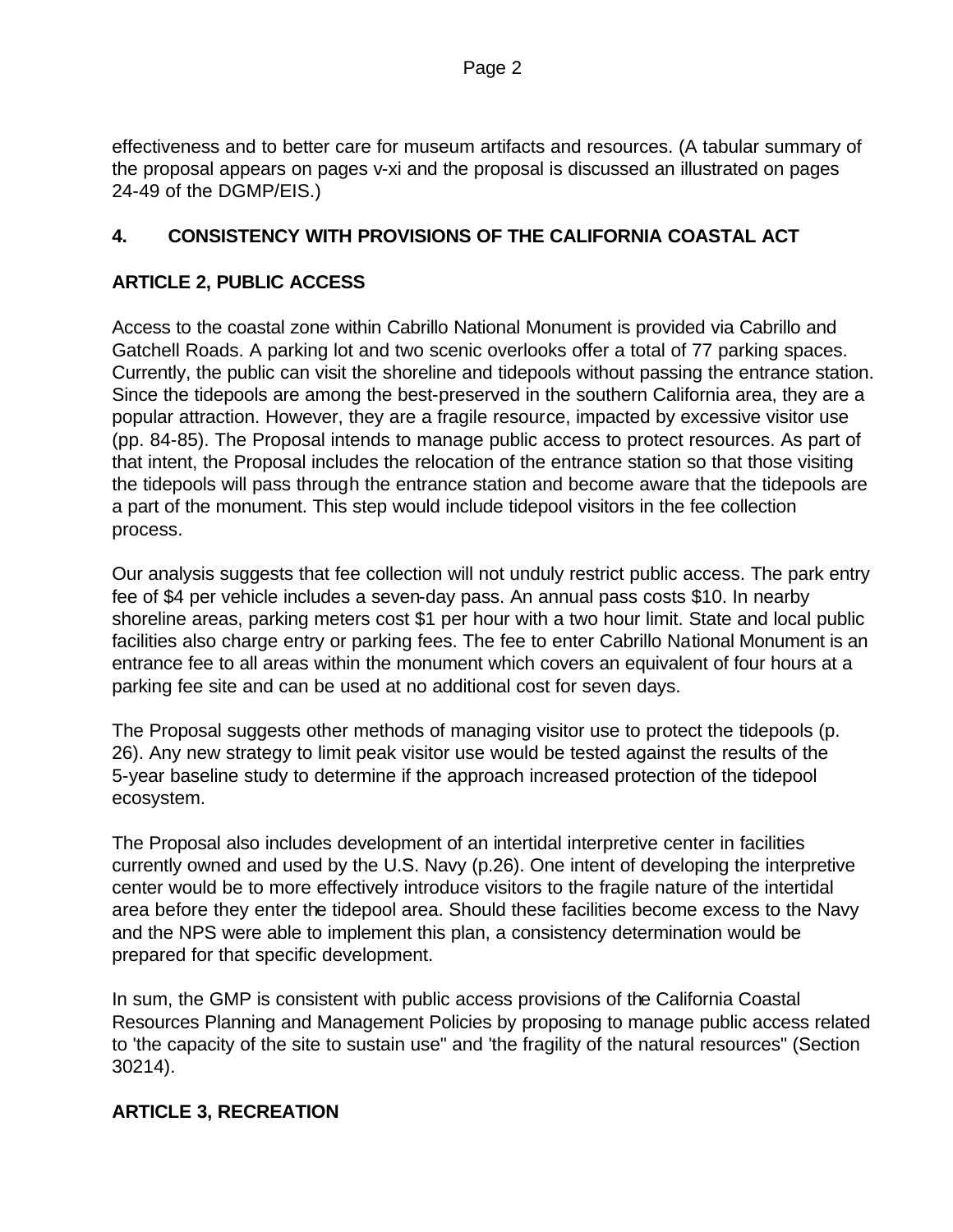effectiveness and to better care for museum artifacts and resources. (A tabular summary of the proposal appears on pages v-xi and the proposal is discussed an illustrated on pages 24-49 of the DGMP/EIS.)

## **4. CONSISTENCY WITH PROVISIONS OF THE CALIFORNIA COASTAL ACT**

## **ARTICLE 2, PUBLIC ACCESS**

Access to the coastal zone within Cabrillo National Monument is provided via Cabrillo and Gatchell Roads. A parking lot and two scenic overlooks offer a total of 77 parking spaces. Currently, the public can visit the shoreline and tidepools without passing the entrance station. Since the tidepools are among the best-preserved in the southern California area, they are a popular attraction. However, they are a fragile resource, impacted by excessive visitor use (pp. 84-85). The Proposal intends to manage public access to protect resources. As part of that intent, the Proposal includes the relocation of the entrance station so that those visiting the tidepools will pass through the entrance station and become aware that the tidepools are a part of the monument. This step would include tidepool visitors in the fee collection process.

Our analysis suggests that fee collection will not unduly restrict public access. The park entry fee of \$4 per vehicle includes a seven-day pass. An annual pass costs \$10. In nearby shoreline areas, parking meters cost \$1 per hour with a two hour limit. State and local public facilities also charge entry or parking fees. The fee to enter Cabrillo National Monument is an entrance fee to all areas within the monument which covers an equivalent of four hours at a parking fee site and can be used at no additional cost for seven days.

The Proposal suggests other methods of managing visitor use to protect the tidepools (p. 26). Any new strategy to limit peak visitor use would be tested against the results of the 5-year baseline study to determine if the approach increased protection of the tidepool ecosystem.

The Proposal also includes development of an intertidal interpretive center in facilities currently owned and used by the U.S. Navy (p.26). One intent of developing the interpretive center would be to more effectively introduce visitors to the fragile nature of the intertidal area before they enter the tidepool area. Should these facilities become excess to the Navy and the NPS were able to implement this plan, a consistency determination would be prepared for that specific development.

In sum, the GMP is consistent with public access provisions of the California Coastal Resources Planning and Management Policies by proposing to manage public access related to 'the capacity of the site to sustain use" and 'the fragility of the natural resources" (Section 30214).

#### **ARTICLE 3, RECREATION**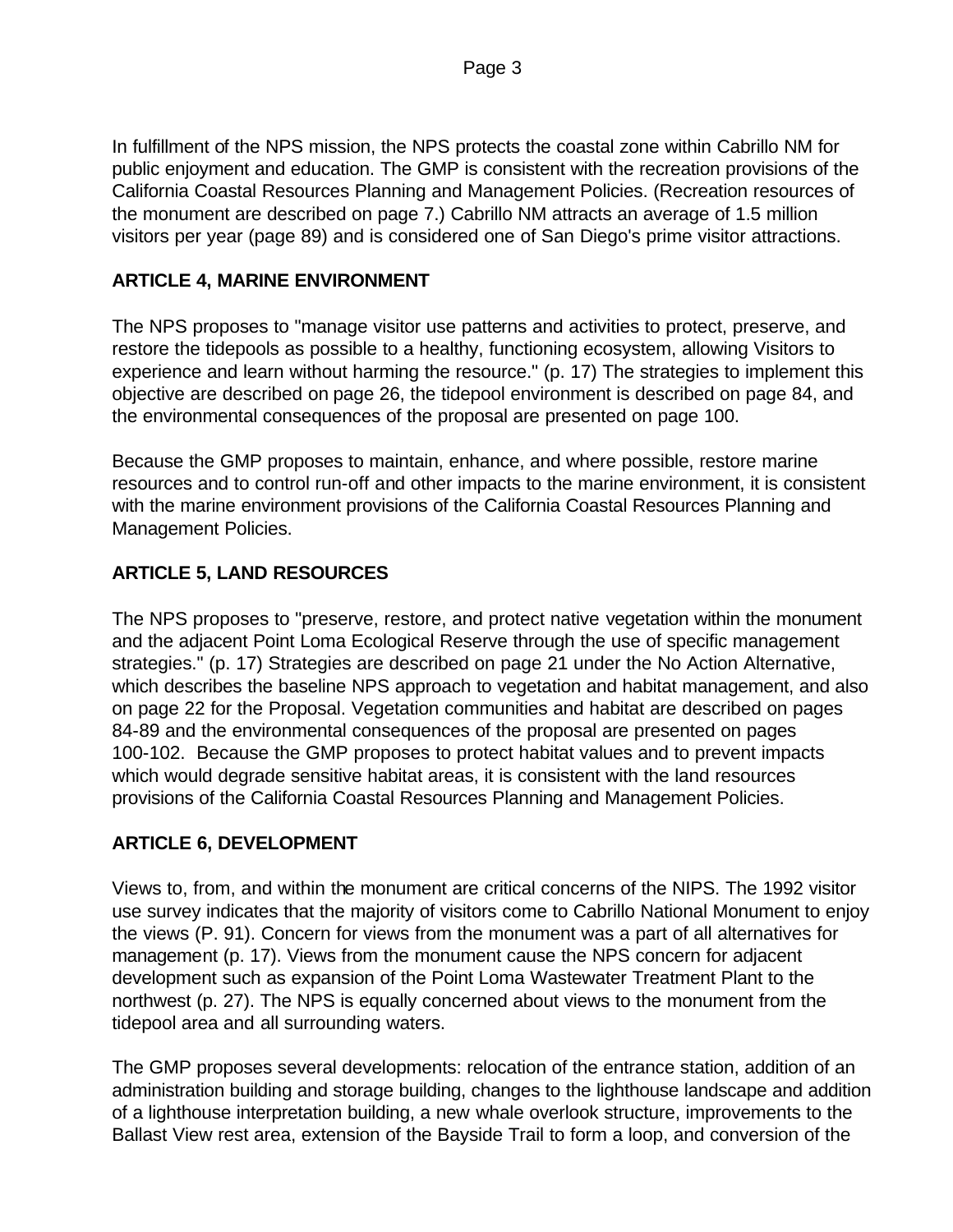Page 3

In fulfillment of the NPS mission, the NPS protects the coastal zone within Cabrillo NM for public enjoyment and education. The GMP is consistent with the recreation provisions of the California Coastal Resources Planning and Management Policies. (Recreation resources of the monument are described on page 7.) Cabrillo NM attracts an average of 1.5 million visitors per year (page 89) and is considered one of San Diego's prime visitor attractions.

## **ARTICLE 4, MARINE ENVIRONMENT**

The NPS proposes to "manage visitor use patterns and activities to protect, preserve, and restore the tidepools as possible to a healthy, functioning ecosystem, allowing Visitors to experience and learn without harming the resource." (p. 17) The strategies to implement this objective are described on page 26, the tidepool environment is described on page 84, and the environmental consequences of the proposal are presented on page 100.

Because the GMP proposes to maintain, enhance, and where possible, restore marine resources and to control run-off and other impacts to the marine environment, it is consistent with the marine environment provisions of the California Coastal Resources Planning and Management Policies.

# **ARTICLE 5, LAND RESOURCES**

The NPS proposes to "preserve, restore, and protect native vegetation within the monument and the adjacent Point Loma Ecological Reserve through the use of specific management strategies." (p. 17) Strategies are described on page 21 under the No Action Alternative, which describes the baseline NPS approach to vegetation and habitat management, and also on page 22 for the Proposal. Vegetation communities and habitat are described on pages 84-89 and the environmental consequences of the proposal are presented on pages 100-102. Because the GMP proposes to protect habitat values and to prevent impacts which would degrade sensitive habitat areas, it is consistent with the land resources provisions of the California Coastal Resources Planning and Management Policies.

# **ARTICLE 6, DEVELOPMENT**

Views to, from, and within the monument are critical concerns of the NIPS. The 1992 visitor use survey indicates that the majority of visitors come to Cabrillo National Monument to enjoy the views (P. 91). Concern for views from the monument was a part of all alternatives for management (p. 17). Views from the monument cause the NPS concern for adjacent development such as expansion of the Point Loma Wastewater Treatment Plant to the northwest (p. 27). The NPS is equally concerned about views to the monument from the tidepool area and all surrounding waters.

The GMP proposes several developments: relocation of the entrance station, addition of an administration building and storage building, changes to the lighthouse landscape and addition of a lighthouse interpretation building, a new whale overlook structure, improvements to the Ballast View rest area, extension of the Bayside Trail to form a loop, and conversion of the